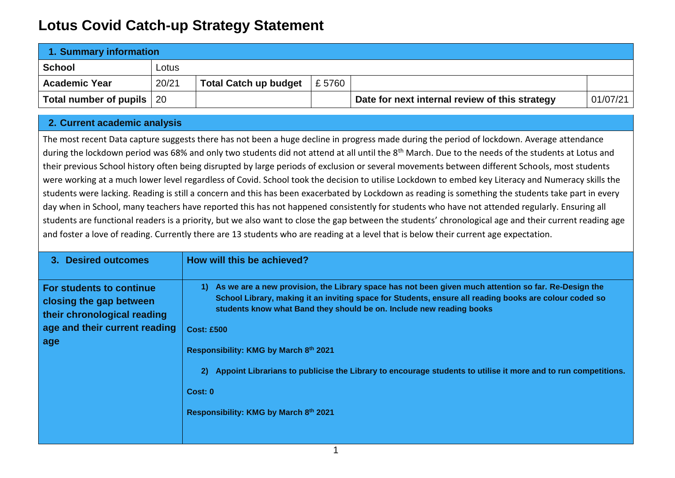## **Lotus Covid Catch-up Strategy Statement**

| 1. Summary information             |       |                              |       |                                                |          |  |
|------------------------------------|-------|------------------------------|-------|------------------------------------------------|----------|--|
| School                             | Lotus |                              |       |                                                |          |  |
| <b>Academic Year</b>               | 20/21 | <b>Total Catch up budget</b> | £5760 |                                                |          |  |
| <b>Total number of pupils   20</b> |       |                              |       | Date for next internal review of this strategy | 01/07/21 |  |

## **2. Current academic analysis**

The most recent Data capture suggests there has not been a huge decline in progress made during the period of lockdown. Average attendance during the lockdown period was 68% and only two students did not attend at all until the 8<sup>th</sup> March. Due to the needs of the students at Lotus and their previous School history often being disrupted by large periods of exclusion or several movements between different Schools, most students were working at a much lower level regardless of Covid. School took the decision to utilise Lockdown to embed key Literacy and Numeracy skills the students were lacking. Reading is still a concern and this has been exacerbated by Lockdown as reading is something the students take part in every day when in School, many teachers have reported this has not happened consistently for students who have not attended regularly. Ensuring all students are functional readers is a priority, but we also want to close the gap between the students' chronological age and their current reading age and foster a love of reading. Currently there are 13 students who are reading at a level that is below their current age expectation.

| 3. Desired outcomes                                                                                                               | How will this be achieved?                                                                                                                                                                                                                                                                                                                                                                                                                                                                                                            |
|-----------------------------------------------------------------------------------------------------------------------------------|---------------------------------------------------------------------------------------------------------------------------------------------------------------------------------------------------------------------------------------------------------------------------------------------------------------------------------------------------------------------------------------------------------------------------------------------------------------------------------------------------------------------------------------|
| <b>For students to continue</b><br>closing the gap between<br>their chronological reading<br>age and their current reading<br>age | As we are a new provision, the Library space has not been given much attention so far. Re-Design the<br>1)<br>School Library, making it an inviting space for Students, ensure all reading books are colour coded so<br>students know what Band they should be on. Include new reading books<br><b>Cost: £500</b><br>Responsibility: KMG by March 8th 2021<br>Appoint Librarians to publicise the Library to encourage students to utilise it more and to run competitions.<br>2)<br>Cost: 0<br>Responsibility: KMG by March 8th 2021 |